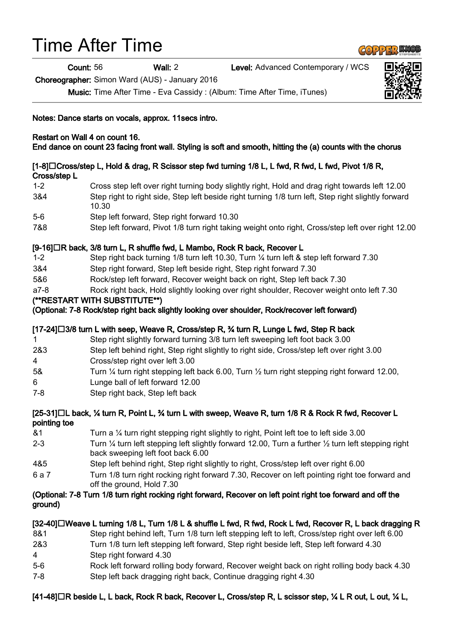# Time After Time

Count: 56 Wall: 2 Level: Advanced Contemporary / WCS

Choreographer: Simon Ward (AUS) - January 2016

Music: Time After Time - Eva Cassidy : (Album: Time After Time, iTunes)

Notes: Dance starts on vocals, approx. 11secs intro.

#### Restart on Wall 4 on count 16. End dance on count 23 facing front wall. Styling is soft and smooth, hitting the (a) counts with the chorus

# [1-8]□Cross/step L, Hold & drag, R Scissor step fwd turning 1/8 L, L fwd, R fwd, L fwd, Pivot 1/8 R, Cross/step L

| $1 - 2$ | Cross step left over right turning body slightly right, Hold and drag right towards left 12.00               |
|---------|--------------------------------------------------------------------------------------------------------------|
| 3&4     | Step right to right side, Step left beside right turning 1/8 turn left, Step right slightly forward<br>10.30 |
| E Q     | Stan Joft fanyard, Stan right fanyard 10.30                                                                  |

- 5-6 Step left forward, Step right forward 10.30
- 7&8 Step left forward, Pivot 1/8 turn right taking weight onto right, Cross/step left over right 12.00

# [9-16]□R back, 3/8 turn L, R shuffle fwd, L Mambo, Rock R back, Recover L

- 1-2 Step right back turning 1/8 turn left 10.30, Turn ¼ turn left & step left forward 7.30
- 3&4 Step right forward, Step left beside right, Step right forward 7.30
- 5&6 Rock/step left forward, Recover weight back on right, Step left back 7.30
- a7-8 Rock right back, Hold slightly looking over right shoulder, Recover weight onto left 7.30

# (\*\*RESTART WITH SUBSTITUTE\*\*)

(Optional: 7-8 Rock/step right back slightly looking over shoulder, Rock/recover left forward)

# [17-24]□3/8 turn L with seep, Weave R, Cross/step R, ¾ turn R, Lunge L fwd, Step R back

- 1 Step right slightly forward turning 3/8 turn left sweeping left foot back 3.00
- 2&3 Step left behind right, Step right slightly to right side, Cross/step left over right 3.00
- 4 Cross/step right over left 3.00
- 5& Turn ¼ turn right stepping left back 6.00, Turn ½ turn right stepping right forward 12.00,
- 6 Lunge ball of left forward 12.00
- 7-8 Step right back, Step left back

#### [25-31]□L back, ¼ turn R, Point L, ¾ turn L with sweep, Weave R, turn 1/8 R & Rock R fwd, Recover L pointing toe

- &1 Turn a ¼ turn right stepping right slightly to right, Point left toe to left side 3.00 2-3 Turn ¼ turn left stepping left slightly forward 12.00, Turn a further ½ turn left stepping right back sweeping left foot back 6.00
- 4&5 Step left behind right, Step right slightly to right, Cross/step left over right 6.00
- 6 a 7 Turn 1/8 turn right rocking right forward 7.30, Recover on left pointing right toe forward and off the ground, Hold 7.30

# (Optional: 7-8 Turn 1/8 turn right rocking right forward, Recover on left point right toe forward and off the ground)

# [32-40]□Weave L turning 1/8 L, Turn 1/8 L & shuffle L fwd, R fwd, Rock L fwd, Recover R, L back dragging R 8&1 Step right behind left, Turn 1/8 turn left stepping left to left, Cross/step right over left 6.00 2&3 Turn 1/8 turn left stepping left forward, Step right beside left, Step left forward 4.30 4 Step right forward 4.30 5-6 Rock left forward rolling body forward, Recover weight back on right rolling body back 4.30 7-8 Step left back dragging right back, Continue dragging right 4.30

# [41-48]□R beside L, L back, Rock R back, Recover L, Cross/step R, L scissor step, ¼ L R out, L out, ¼ L,